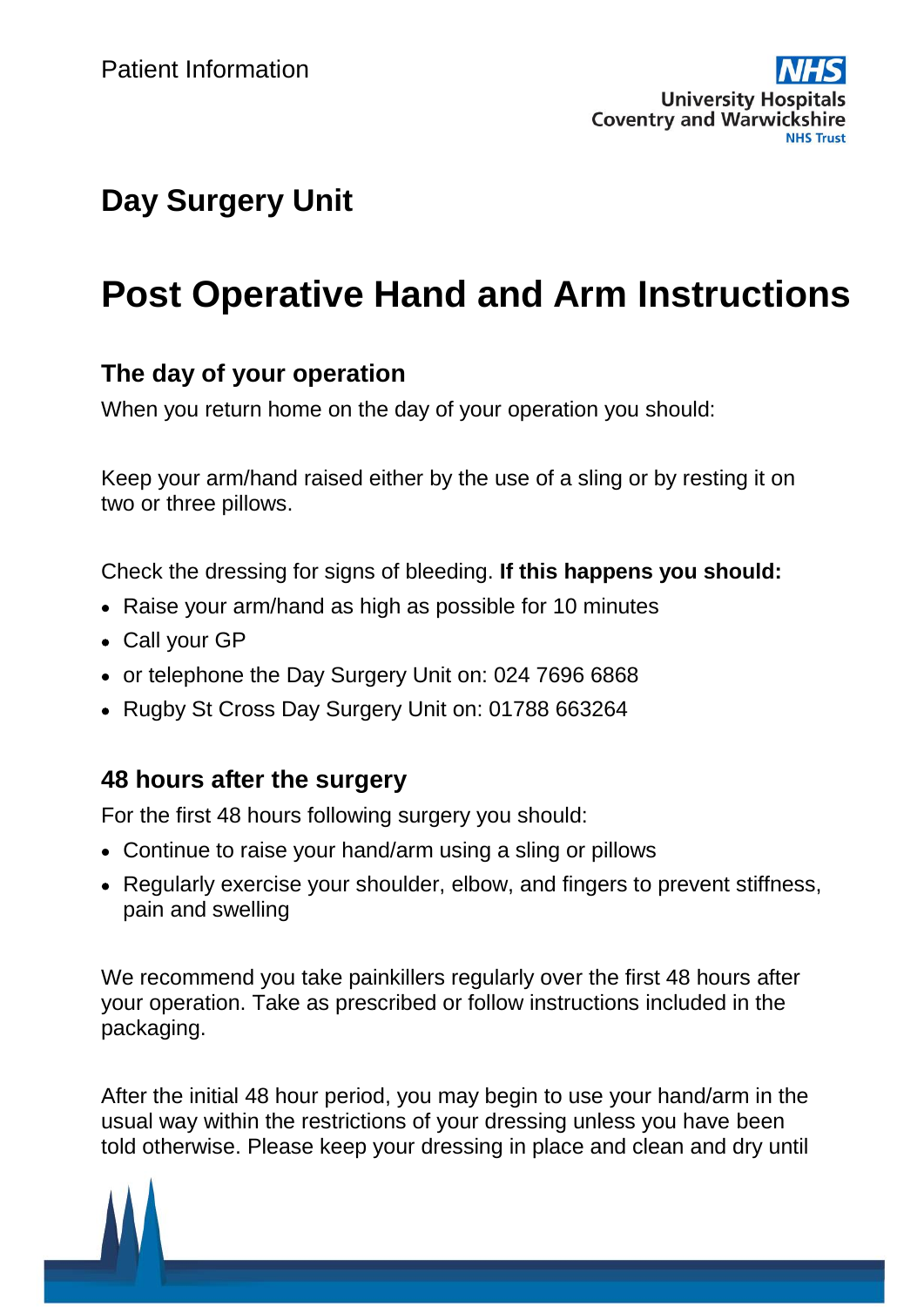## **Day Surgery Unit**

# **Post Operative Hand and Arm Instructions**

## **The day of your operation**

When you return home on the day of your operation you should:

Keep your arm/hand raised either by the use of a sling or by resting it on two or three pillows.

Check the dressing for signs of bleeding. **If this happens you should:**

- Raise your arm/hand as high as possible for 10 minutes
- Call your GP
- or telephone the Day Surgery Unit on: 024 7696 6868
- Rugby St Cross Day Surgery Unit on: 01788 663264

### **48 hours after the surgery**

For the first 48 hours following surgery you should:

- Continue to raise your hand/arm using a sling or pillows
- Regularly exercise your shoulder, elbow, and fingers to prevent stiffness, pain and swelling

We recommend you take painkillers regularly over the first 48 hours after your operation. Take as prescribed or follow instructions included in the packaging.

After the initial 48 hour period, you may begin to use your hand/arm in the usual way within the restrictions of your dressing unless you have been told otherwise. Please keep your dressing in place and clean and dry until